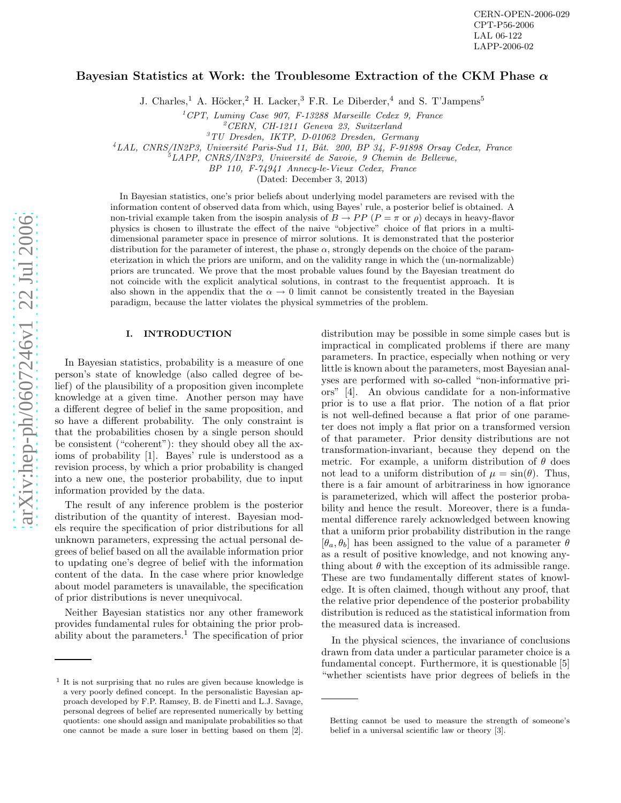# Bayesian Statistics at Work: the Troublesome Extraction of the CKM Phase  $\alpha$

J. Charles,<sup>1</sup> A. Höcker,<sup>2</sup> H. Lacker,<sup>3</sup> F.R. Le Diberder,<sup>4</sup> and S. T'Jampens<sup>5</sup>

<sup>1</sup>CPT, Luminy Case 907, F-13288 Marseille Cedex 9, France  ${}^{2}CERN$ , CH-1211 Geneva 23, Switzerland  ${}^{3}TU$  Dresden, IKTP, D-01062 Dresden, Germany

<sup>4</sup>LAL, CNRS/IN2P3, Université Paris-Sud 11, Bât. 200, BP 34, F-91898 Orsay Cedex, France  ${}^{5}$ LAPP, CNRS/IN2P3, Université de Savoie, 9 Chemin de Bellevue,

BP 110, F-74941 Annecy-le-Vieux Cedex, France

(Dated: December 3, 2013)

In Bayesian statistics, one's prior beliefs about underlying model parameters are revised with the information content of observed data from which, using Bayes' rule, a posterior belief is obtained. A non-trivial example taken from the isospin analysis of  $B \to PP$   $(P = \pi \text{ or } \rho)$  decays in heavy-flavor physics is chosen to illustrate the effect of the naive "objective" choice of flat priors in a multidimensional parameter space in presence of mirror solutions. It is demonstrated that the posterior distribution for the parameter of interest, the phase  $\alpha$ , strongly depends on the choice of the parameterization in which the priors are uniform, and on the validity range in which the (un-normalizable) priors are truncated. We prove that the most probable values found by the Bayesian treatment do not coincide with the explicit analytical solutions, in contrast to the frequentist approach. It is also shown in the appendix that the  $\alpha \to 0$  limit cannot be consistently treated in the Bayesian paradigm, because the latter violates the physical symmetries of the problem.

### I. INTRODUCTION

In Bayesian statistics, probability is a measure of one person's state of knowledge (also called degree of belief) of the plausibility of a proposition given incomplete knowledge at a given time. Another person may have a different degree of belief in the same proposition, and so have a different probability. The only constraint is that the probabilities chosen by a single person should be consistent ("coherent"): they should obey all the axioms of probability [1]. Bayes' rule is understood as a revision process, by which a prior probability is changed into a new one, the posterior probability, due to input information provided by the data.

The result of any inference problem is the posterior distribution of the quantity of interest. Bayesian models require the specification of prior distributions for all unknown parameters, expressing the actual personal degrees of belief based on all the available information prior to updating one's degree of belief with the information content of the data. In the case where prior knowledge about model parameters is unavailable, the specification of prior distributions is never unequivocal.

Neither Bayesian statistics nor any other framework provides fundamental rules for obtaining the prior probability about the parameters.<sup>1</sup> The specification of prior

distribution may be possible in some simple cases but is impractical in complicated problems if there are many parameters. In practice, especially when nothing or very little is known about the parameters, most Bayesian analyses are performed with so-called "non-informative priors" [4]. An obvious candidate for a non-informative prior is to use a flat prior. The notion of a flat prior is not well-defined because a flat prior of one parameter does not imply a flat prior on a transformed version of that parameter. Prior density distributions are not transformation-invariant, because they depend on the metric. For example, a uniform distribution of  $\theta$  does not lead to a uniform distribution of  $\mu = \sin(\theta)$ . Thus, there is a fair amount of arbitrariness in how ignorance is parameterized, which will affect the posterior probability and hence the result. Moreover, there is a fundamental difference rarely acknowledged between knowing that a uniform prior probability distribution in the range  $[\theta_a, \theta_b]$  has been assigned to the value of a parameter  $\theta$ as a result of positive knowledge, and not knowing anything about  $\theta$  with the exception of its admissible range. These are two fundamentally different states of knowledge. It is often claimed, though without any proof, that the relative prior dependence of the posterior probability distribution is reduced as the statistical information fro m the measured data is increased.

In the physical sciences, the invariance of conclusions drawn from data under a particular parameter choice is a fundamental concept. Furthermore, it is questionable [5] "whether scientists have prior degrees of beliefs in the

<sup>1</sup> It is not surprising that no rules are given because knowledge is a very poorly defined concept. In the personalistic Bayesian approach developed by F.P. Ramsey, B. de Finetti and L.J. Savage, personal degrees of belief are represented numerically by betting quotients: one should assign and manipulate probabilities so that one cannot be made a sure loser in betting based on them [2].

Betting cannot be used to measure the strength of someone's belief in a universal scientific law or theory [3].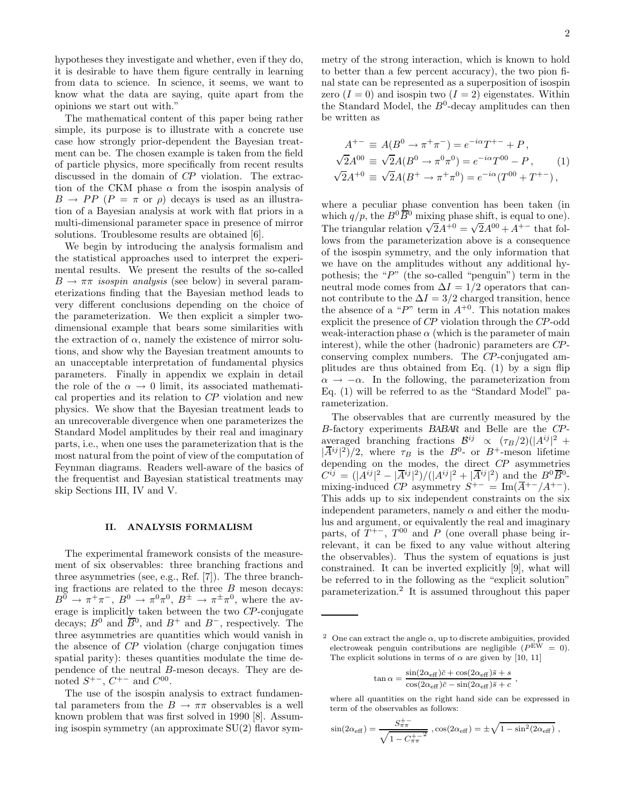hypotheses they investigate and whether, even if they do, it is desirable to have them figure centrally in learning from data to science. In science, it seems, we want to know what the data are saying, quite apart from the opinions we start out with."

The mathematical content of this paper being rather simple, its purpose is to illustrate with a concrete use case how strongly prior-dependent the Bayesian treatment can be. The chosen example is taken from the field of particle physics, more specifically from recent results discussed in the domain of CP violation. The extraction of the CKM phase  $\alpha$  from the isospin analysis of  $B \to PP$  ( $P = \pi$  or  $\rho$ ) decays is used as an illustration of a Bayesian analysis at work with flat priors in a multi-dimensional parameter space in presence of mirror solutions. Troublesome results are obtained [6].

We begin by introducing the analysis formalism and the statistical approaches used to interpret the experimental results. We present the results of the so-called  $B \to \pi\pi$  isospin analysis (see below) in several parameterizations finding that the Bayesian method leads to very different conclusions depending on the choice of the parameterization. We then explicit a simpler twodimensional example that bears some similarities with the extraction of  $\alpha$ , namely the existence of mirror solutions, and show why the Bayesian treatment amounts to an unacceptable interpretation of fundamental physics parameters. Finally in appendix we explain in detail the role of the  $\alpha \rightarrow 0$  limit, its associated mathematical properties and its relation to CP violation and new physics. We show that the Bayesian treatment leads to an unrecoverable divergence when one parameterizes the Standard Model amplitudes by their real and imaginary parts, i.e., when one uses the parameterization that is the most natural from the point of view of the computation of Feynman diagrams. Readers well-aware of the basics of the frequentist and Bayesian statistical treatments may skip Sections III, IV and V.

#### II. ANALYSIS FORMALISM

The experimental framework consists of the measurement of six observables: three branching fractions and three asymmetries (see, e.g., Ref. [7]). The three branching fractions are related to the three  $B$  meson decays:  $B^0 \to \pi^+\pi^-$ ,  $B^0 \to \pi^0\pi^0$ ,  $B^{\pm} \to \pi^{\pm}\pi^0$ , where the average is implicitly taken between the two CP-conjugate decays;  $B^0$  and  $\overline{B}^0$ , and  $B^+$  and  $B^-$ , respectively. The three asymmetries are quantities which would vanish in the absence of CP violation (charge conjugation times spatial parity): theses quantities modulate the time dependence of the neutral B-meson decays. They are denoted  $S^{+-}$ ,  $C^{+-}$  and  $C^{00}$ .

The use of the isospin analysis to extract fundamental parameters from the  $B \to \pi\pi$  observables is a well known problem that was first solved in 1990 [8]. Assuming isospin symmetry (an approximate SU(2) flavor symmetry of the strong interaction, which is known to hold to better than a few percent accuracy), the two pion final state can be represented as a superposition of isospin zero  $(I = 0)$  and isospin two  $(I = 2)$  eigenstates. Within the Standard Model, the  $B^0$ -decay amplitudes can then be written as

$$
A^{+-} \equiv A(B^0 \to \pi^+ \pi^-) = e^{-i\alpha} T^{+-} + P,
$$
  
\n
$$
\sqrt{2}A^{00} \equiv \sqrt{2}A(B^0 \to \pi^0 \pi^0) = e^{-i\alpha} T^{00} - P,
$$
  
\n
$$
\sqrt{2}A^{+0} \equiv \sqrt{2}A(B^+ \to \pi^+ \pi^0) = e^{-i\alpha} (T^{00} + T^{+-}),
$$
  
\n(1)

where a peculiar phase convention has been taken (in which  $q/p$ , the  $B^0\overline{B}{}^0$  mixing phase shift, is equal to one). The triangular relation  $\sqrt{2}A^{+0} = \sqrt{2}A^{00} + A^{+-}$  that follows from the parameterization above is a consequence of the isospin symmetry, and the only information that we have on the amplitudes without any additional hypothesis; the " $P$ " (the so-called "penguin") term in the neutral mode comes from  $\Delta I = 1/2$  operators that cannot contribute to the  $\Delta I = 3/2$  charged transition, hence the absence of a "P" term in  $A^{+0}$ . This notation makes explicit the presence of CP violation through the CP-odd weak-interaction phase  $\alpha$  (which is the parameter of main interest), while the other (hadronic) parameters are CPconserving complex numbers. The CP-conjugated amplitudes are thus obtained from Eq. (1) by a sign flip  $\alpha \rightarrow -\alpha$ . In the following, the parameterization from Eq. (1) will be referred to as the "Standard Model" parameterization.

The observables that are currently measured by the B-factory experiments BABAR and Belle are the CPaveraged branching fractions  $\mathcal{B}^{ij} \propto (\tau_B/2)(|A^{ij}|^2 +$  $|\overline{A}^{ij}|^2)/2$ , where  $\tau_B$  is the  $B^0$ - or  $B^+$ -meson lifetime depending on the modes, the direct CP asymmetries  $C^{ij} = (|A^{ij}|^2 - |\overline{A}^{ij}|^2)/(|A^{ij}|^2 + |\overline{A}^{ij}|^2)$  and the  $B^0\overline{B^0}$ . mixing-induced  $\mathbb{CP}$  asymmetry  $S^{+-} = \operatorname{Im}(\overline{A}^{+-}/A^{+-}).$ This adds up to six independent constraints on the six independent parameters, namely  $\alpha$  and either the modulus and argument, or equivalently the real and imaginary parts, of  $T^{+-}$ ,  $T^{00}$  and P (one overall phase being irrelevant, it can be fixed to any value without altering the observables). Thus the system of equations is just constrained. It can be inverted explicitly [9], what will be referred to in the following as the "explicit solution" parameterization.<sup>2</sup> It is assumed throughout this paper

$$
\tan \alpha = \frac{\sin(2\alpha_{\text{eff}})\bar{c} + \cos(2\alpha_{\text{eff}})\bar{s} + s}{\cos(2\alpha_{\text{eff}})\bar{c} - \sin(2\alpha_{\text{eff}})\bar{s} + c}
$$

,

where all quantities on the right hand side can be expressed in term of the observables as follows:

$$
\sin(2\alpha_{\text{eff}}) = \frac{S_{\pi\pi}^{+-}}{\sqrt{1 - C_{\pi\pi}^{+ - 2}}}, \cos(2\alpha_{\text{eff}}) = \pm \sqrt{1 - \sin^2(2\alpha_{\text{eff}})},
$$

<sup>&</sup>lt;sup>2</sup> One can extract the angle  $\alpha$ , up to discrete ambiguities, provided electroweak penguin contributions are negligible  $(P<sup>EW</sup> = 0)$ . The explicit solutions in terms of  $\alpha$  are given by [10, 11]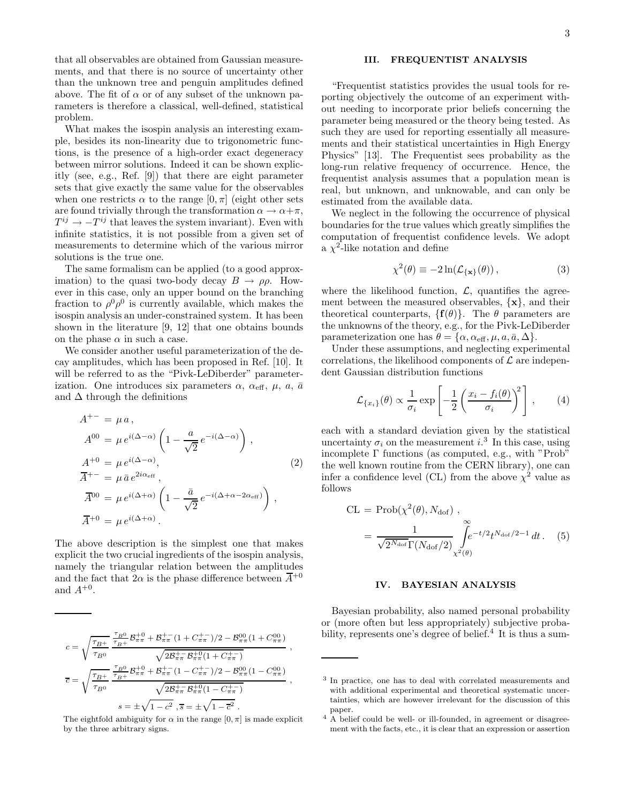3

that all observables are obtained from Gaussian measurements, and that there is no source of uncertainty other than the unknown tree and penguin amplitudes defined above. The fit of  $\alpha$  or of any subset of the unknown parameters is therefore a classical, well-defined, statistical problem.

What makes the isospin analysis an interesting example, besides its non-linearity due to trigonometric functions, is the presence of a high-order exact degeneracy between mirror solutions. Indeed it can be shown explicitly (see, e.g., Ref. [9]) that there are eight parameter sets that give exactly the same value for the observables when one restricts  $\alpha$  to the range  $[0, \pi]$  (eight other sets are found trivially through the transformation  $\alpha \to \alpha + \pi$ ,  $T^{ij} \rightarrow -T^{ij}$  that leaves the system invariant). Even with infinite statistics, it is not possible from a given set of measurements to determine which of the various mirror solutions is the true one.

The same formalism can be applied (to a good approximation) to the quasi two-body decay  $B \to \rho \rho$ . However in this case, only an upper bound on the branching fraction to  $\rho^0 \rho^0$  is currently available, which makes the isospin analysis an under-constrained system. It has been shown in the literature [9, 12] that one obtains bounds on the phase  $\alpha$  in such a case.

We consider another useful parameterization of the decay amplitudes, which has been proposed in Ref. [10]. It will be referred to as the "Pivk-LeDiberder" parameterization. One introduces six parameters  $\alpha$ ,  $\alpha_{\text{eff}}$ ,  $\mu$ ,  $\alpha$ ,  $\bar{\alpha}$ and  $\Delta$  through the definitions

$$
A^{+-} = \mu a,
$$
  
\n
$$
A^{00} = \mu e^{i(\Delta - \alpha)} \left( 1 - \frac{a}{\sqrt{2}} e^{-i(\Delta - \alpha)} \right),
$$
  
\n
$$
A^{+0} = \mu e^{i(\Delta - \alpha)},
$$
  
\n
$$
\overline{A}^{+-} = \mu \overline{a} e^{2i\alpha_{\text{eff}}},
$$
  
\n
$$
\overline{A}^{00} = \mu e^{i(\Delta + \alpha)} \left( 1 - \frac{\overline{a}}{\sqrt{2}} e^{-i(\Delta + \alpha - 2\alpha_{\text{eff}})} \right),
$$
  
\n
$$
\overline{A}^{+0} = \mu e^{i(\Delta + \alpha)}.
$$
\n(2)

The above description is the simplest one that makes explicit the two crucial ingredients of the isospin analysis, namely the triangular relation between the amplitudes and the fact that  $2\alpha$  is the phase difference between  $\overline{A}^{+0}$ and  $A^{+0}$ .

$$
\begin{split} c &= \sqrt{\frac{\tau_{B^+}}{\tau_{B^+}}}\frac{\frac{\tau_{B^0}}{\tau_{B^+}}\mathcal{B}^{+0}_{\pi\pi}+\mathcal{B}^{+-}_{\pi\pi}(1+C^{+-}_{\pi\pi})/2-\mathcal{B}^{00}_{\pi\pi}(1+C^{00}_{\pi\pi})}{\sqrt{2\mathcal{B}^{+-}_{\pi\pi}\mathcal{B}^{+0}_{\pi\pi}(1+C^{+-}_{\pi\pi})}} \ ,\\ \overline{c} &= \sqrt{\frac{\tau_{B^+}}{\tau_{B^0}}}\frac{\frac{\tau_{B^0}}{\tau_{B^+}}\mathcal{B}^{+0}_{\pi\pi}+\mathcal{B}^{+-}_{\pi\pi}(1-C^{+-}_{\pi\pi})/2-\mathcal{B}^{00}_{\pi\pi}(1-C^{00}_{\pi\pi})}{\sqrt{2\mathcal{B}^{+-}_{\pi\pi}\mathcal{B}^{+0}_{\pi\pi}(1-C^{+-}_{\pi\pi})}} \ ,\\ s &= \pm\sqrt{1-c^2}\ , \overline{s} = \pm\sqrt{1-\overline{c^2}} \ . \end{split}
$$

The eightfold ambiguity for  $\alpha$  in the range  $[0, \pi]$  is made explicit by the three arbitrary signs.

# III. FREQUENTIST ANALYSIS

"Frequentist statistics provides the usual tools for reporting objectively the outcome of an experiment without needing to incorporate prior beliefs concerning the parameter being measured or the theory being tested. As such they are used for reporting essentially all measurements and their statistical uncertainties in High Energy Physics" [13]. The Frequentist sees probability as the long-run relative frequency of occurrence. Hence, the frequentist analysis assumes that a population mean is real, but unknown, and unknowable, and can only be estimated from the available data.

We neglect in the following the occurrence of physical boundaries for the true values which greatly simplifies the computation of frequentist confidence levels. We adopt a  $\chi^2$ -like notation and define

$$
\chi^2(\theta) \equiv -2\ln(\mathcal{L}_{\{\mathbf{x}\}}(\theta)),\tag{3}
$$

where the likelihood function,  $\mathcal{L}$ , quantifies the agreement between the measured observables,  $\{x\}$ , and their theoretical counterparts,  $\{f(\theta)\}\$ . The  $\theta$  parameters are the unknowns of the theory, e.g., for the Pivk-LeDiberder parameterization one has  $\theta = {\alpha, \alpha_{\text{eff}}, \mu, a, \bar{a}, \Delta}.$ 

Under these assumptions, and neglecting experimental correlations, the likelihood components of  $\mathcal L$  are independent Gaussian distribution functions

$$
\mathcal{L}_{\{x_i\}}(\theta) \propto \frac{1}{\sigma_i} \exp\left[-\frac{1}{2} \left(\frac{x_i - f_i(\theta)}{\sigma_i}\right)^2\right],\qquad(4)
$$

each with a standard deviation given by the statistical uncertainty  $\sigma_i$  on the measurement  $i$ <sup>3</sup>. In this case, using incomplete Γ functions (as computed, e.g., with "Prob" the well known routine from the CERN library), one can infer a confidence level (CL) from the above  $\chi^2$  value as follows

CL = Prob(χ 2 (θ), Ndof) , = 1 √ <sup>2</sup>NdofΓ(Ndof/2) <sup>Z</sup><sup>∞</sup> χ2(θ) e −t/2 t Ndof/2−1 dt . (5)

# IV. BAYESIAN ANALYSIS

Bayesian probability, also named personal probability or (more often but less appropriately) subjective probability, represents one's degree of belief.<sup>4</sup> It is thus a sum-

<sup>&</sup>lt;sup>3</sup> In practice, one has to deal with correlated measurements and with additional experimental and theoretical systematic uncertainties, which are however irrelevant for the discussion of this paper.

<sup>&</sup>lt;sup>4</sup> A belief could be well- or ill-founded, in agreement or disagreement with the facts, etc., it is clear that an expression or assertion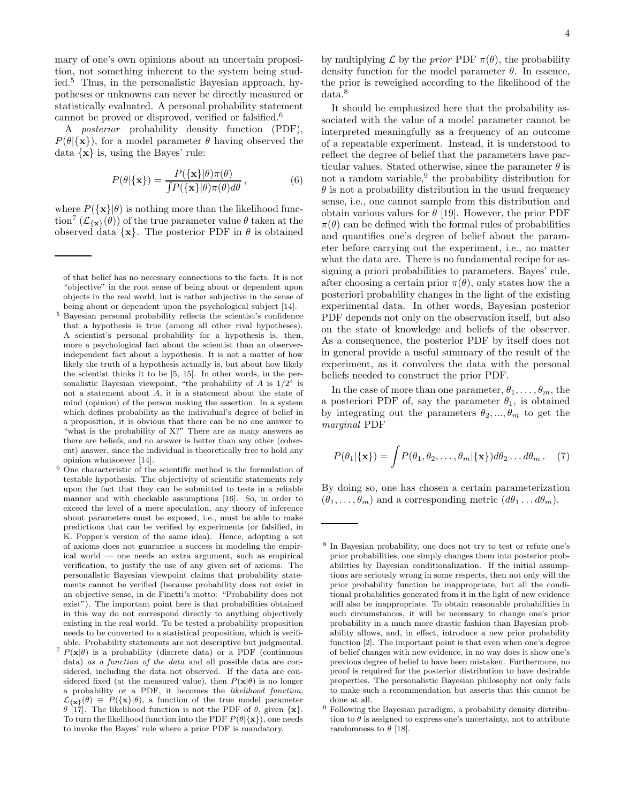mary of one's own opinions about an uncertain proposition, not something inherent to the system being studied.<sup>5</sup> Thus, in the personalistic Bayesian approach, hypotheses or unknowns can never be directly measured or statistically evaluated. A personal probability statement cannot be proved or disproved, verified or falsified.<sup>6</sup>

A posterior probability density function (PDF),  $P(\theta|\{\mathbf{x}\})$ , for a model parameter  $\theta$  having observed the data  $\{x\}$  is, using the Bayes' rule:

$$
P(\theta|\{\mathbf{x}\}) = \frac{P(\{\mathbf{x}\}|\theta)\pi(\theta)}{\int P(\{\mathbf{x}\}|\theta)\pi(\theta)d\theta},
$$
(6)

where  $P({\bf x}|\theta)$  is nothing more than the likelihood function<sup>7</sup>  $(\mathcal{L}_{\{\mathbf{x}\}}(\theta))$  of the true parameter value  $\theta$  taken at the observed data  $\{x\}$ . The posterior PDF in  $\theta$  is obtained

- <sup>5</sup> Bayesian personal probability reflects the scientist's confidence that a hypothesis is true (among all other rival hypotheses). A scientist's personal probability for a hypothesis is, then, more a psychological fact about the scientist than an observerindependent fact about a hypothesis. It is not a matter of how likely the truth of a hypothesis actually is, but about how likely the scientist thinks it to be [5, 15]. In other words, in the personalistic Bayesian viewpoint, "the probability of  $A$  is  $1/2$ " is not a statement about A, it is a statement about the state of mind (opinion) of the person making the assertion. In a system which defines probability as the individual's degree of belief in a proposition, it is obvious that there can be no one answer to "what is the probability of X?" There are as many answers as there are beliefs, and no answer is better than any other (coherent) answer, since the individual is theoretically free to hold any opinion whatsoever [14].
- $^6$  One characteristic of the scientific method is the formulation of testable hypothesis. The objectivity of scientific statements rely upon the fact that they can be submitted to tests in a reliable manner and with checkable assumptions [16]. So, in order to exceed the level of a mere speculation, any theory of inference about parameters must be exposed, i.e., must be able to make predictions that can be verified by experiments (or falsified, in K. Popper's version of the same idea). Hence, adopting a set of axioms does not guarantee a success in modeling the empirical world — one needs an extra argument, such as empirical verification, to justify the use of any given set of axioms. The personalistic Bayesian viewpoint claims that probability statements cannot be verified (because probability does not exist in an objective sense, in de Finetti's motto: "Probability does not exist"). The important point here is that probabilities obtained in this way do not correspond directly to anything objectively existing in the real world. To be tested a probability proposition needs to be converted to a statistical proposition, which is verifiable. Probability statements are not descriptive but judgmental. <sup>7</sup>  $P(\mathbf{x}|\theta)$  is a probability (discrete data) or a PDF (continuous data) as a function of the data and all possible data are considered, including the data not observed. If the data are considered fixed (at the measured value), then  $P(\mathbf{x}|\theta)$  is no longer a probability or a PDF, it becomes the likelihood function,  $\mathcal{L}_{\{\mathbf{x}\}}(\theta) \equiv P(\{\mathbf{x}\}|\theta)$ , a function of the true model parameter

θ [17]. The likelihood function is not the PDF of θ, given  $\{x\}$ . To turn the likelihood function into the PDF  $P(\theta | {\bf x})$ , one needs to invoke the Bayes' rule where a prior PDF is mandatory.

by multiplying  $\mathcal L$  by the *prior* PDF  $\pi(\theta)$ , the probability density function for the model parameter  $\theta$ . In essence, the prior is reweighed according to the likelihood of the data.<sup>8</sup>

It should be emphasized here that the probability associated with the value of a model parameter cannot be interpreted meaningfully as a frequency of an outcome of a repeatable experiment. Instead, it is understood to reflect the degree of belief that the parameters have particular values. Stated otherwise, since the parameter  $\theta$  is not a random variable,<sup>9</sup> the probability distribution for  $\theta$  is not a probability distribution in the usual frequency sense, i.e., one cannot sample from this distribution and obtain various values for  $\theta$  [19]. However, the prior PDF  $\pi(\theta)$  can be defined with the formal rules of probabilities and quantifies one's degree of belief about the parameter before carrying out the experiment, i.e., no matter what the data are. There is no fundamental recipe for assigning a priori probabilities to parameters. Bayes' rule, after choosing a certain prior  $\pi(\theta)$ , only states how the a posteriori probability changes in the light of the existing experimental data. In other words, Bayesian posterior PDF depends not only on the observation itself, but also on the state of knowledge and beliefs of the observer. As a consequence, the posterior PDF by itself does not in general provide a useful summary of the result of the experiment, as it convolves the data with the personal beliefs needed to construct the prior PDF.

In the case of more than one parameter,  $\theta_1, \ldots, \theta_m$ , the a posteriori PDF of, say the parameter  $\theta_1$ , is obtained by integrating out the parameters  $\theta_2, ..., \theta_m$  to get the marginal PDF

$$
P(\theta_1|\{\mathbf{x}\}) = \int P(\theta_1, \theta_2, \dots, \theta_m|\{\mathbf{x}\}) d\theta_2 \dots d\theta_m. \quad (7)
$$

By doing so, one has chosen a certain parameterization  $(\theta_1, \ldots, \theta_m)$  and a corresponding metric  $(d\theta_1 \ldots d\theta_m)$ .

of that belief has no necessary connections to the facts. It is not "objective" in the root sense of being about or dependent upon objects in the real world, but is rather subjective in the sense of being about or dependent upon the psychological subject [14].

<sup>8</sup> In Bayesian probability, one does not try to test or refute one's prior probabilities, one simply changes them into posterior probabilities by Bayesian conditionalization. If the initial assumptions are seriously wrong in some respects, then not only will the prior probability function be inappropriate, but all the conditional probabilities generated from it in the light of new evidence will also be inappropriate. To obtain reasonable probabilities in such circumstances, it will be necessary to change one's prior probability in a much more drastic fashion than Bayesian probability allows, and, in effect, introduce a new prior probability function [2]. The important point is that even when one's degree of belief changes with new evidence, in no way does it show one's previous degree of belief to have been mistaken. Furthermore, no proof is required for the posterior distribution to have desirable properties. The personalistic Bayesian philosophy not only fails to make such a recommendation but asserts that this cannot be done at all.

<sup>9</sup> Following the Bayesian paradigm, a probability density distribution to  $\theta$  is assigned to express one's uncertainty, not to attribute randomness to  $\theta$  [18].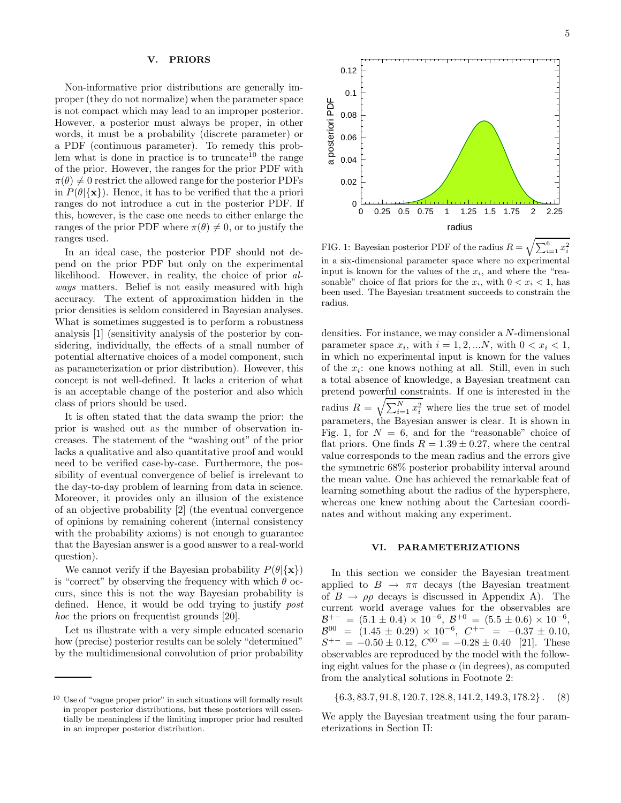#### V. PRIORS

Non-informative prior distributions are generally improper (they do not normalize) when the parameter space is not compact which may lead to an improper posterior. However, a posterior must always be proper, in other words, it must be a probability (discrete parameter) or a PDF (continuous parameter). To remedy this problem what is done in practice is to truncate<sup>10</sup> the range of the prior. However, the ranges for the prior PDF with  $\pi(\theta) \neq 0$  restrict the allowed range for the posterior PDFs in  $P(\theta | {\bf x})$ . Hence, it has to be verified that the a priori ranges do not introduce a cut in the posterior PDF. If this, however, is the case one needs to either enlarge the ranges of the prior PDF where  $\pi(\theta) \neq 0$ , or to justify the ranges used.

In an ideal case, the posterior PDF should not depend on the prior PDF but only on the experimental likelihood. However, in reality, the choice of prior always matters. Belief is not easily measured with high accuracy. The extent of approximation hidden in the prior densities is seldom considered in Bayesian analyses. What is sometimes suggested is to perform a robustness analysis [1] (sensitivity analysis of the posterior by considering, individually, the effects of a small number of potential alternative choices of a model component, such as parameterization or prior distribution). However, this concept is not well-defined. It lacks a criterion of what is an acceptable change of the posterior and also which class of priors should be used.

It is often stated that the data swamp the prior: the prior is washed out as the number of observation increases. The statement of the "washing out" of the prior lacks a qualitative and also quantitative proof and would need to be verified case-by-case. Furthermore, the possibility of eventual convergence of belief is irrelevant to the day-to-day problem of learning from data in science. Moreover, it provides only an illusion of the existence of an objective probability [2] (the eventual convergence of opinions by remaining coherent (internal consistency with the probability axioms) is not enough to guarantee that the Bayesian answer is a good answer to a real-world question).

We cannot verify if the Bayesian probability  $P(\theta | {\bf x})$ is "correct" by observing the frequency with which  $\theta$  occurs, since this is not the way Bayesian probability is defined. Hence, it would be odd trying to justify post hoc the priors on frequentist grounds [20].

Let us illustrate with a very simple educated scenario how (precise) posterior results can be solely "determined" by the multidimensional convolution of prior probability



FIG. 1: Bayesian posterior PDF of the radius  $R = \sqrt{\sum_{i=1}^{6} x_i^2}$ in a six-dimensional parameter space where no experimental input is known for the values of the  $x_i$ , and where the "reasonable" choice of flat priors for the  $x_i$ , with  $0 < x_i < 1$ , has been used. The Bayesian treatment succeeds to constrain the radius.

densities. For instance, we may consider a N-dimensional parameter space  $x_i$ , with  $i = 1, 2, \dots N$ , with  $0 < x_i < 1$ , in which no experimental input is known for the values of the  $x_i$ : one knows nothing at all. Still, even in such a total absence of knowledge, a Bayesian treatment can pretend powerful constraints. If one is interested in the radius  $R = \sqrt{\sum_{i=1}^{N} x_i^2}$  where lies the true set of model parameters, the Bayesian answer is clear. It is shown in Fig. 1, for  $N = 6$ , and for the "reasonable" choice of flat priors. One finds  $R = 1.39 \pm 0.27$ , where the central value corresponds to the mean radius and the errors give the symmetric 68% posterior probability interval around the mean value. One has achieved the remarkable feat of learning something about the radius of the hypersphere, whereas one knew nothing about the Cartesian coordinates and without making any experiment.

#### VI. PARAMETERIZATIONS

In this section we consider the Bayesian treatment applied to  $B \to \pi\pi$  decays (the Bayesian treatment of  $B \to \rho \rho$  decays is discussed in Appendix A). The current world average values for the observables are  $\mathcal{B}^{+-} = (5.1 \pm 0.4) \times 10^{-6}, \ \mathcal{B}^{+0} = (5.5 \pm 0.6) \times 10^{-6},$  $\frac{15}{3}$  $0^0 = (1.45 \pm 0.29) \times 10^{-6}, C^{+-} = -0.37 \pm 0.10,$  $S^{+-} = -0.50 \pm 0.12, C^{00} = -0.28 \pm 0.40$  [21]. These observables are reproduced by the model with the following eight values for the phase  $\alpha$  (in degrees), as computed from the analytical solutions in Footnote 2:

 $\{6.3, 83.7, 91.8, 120.7, 128.8, 141.2, 149.3, 178.2\}$ . (8)

We apply the Bayesian treatment using the four parameterizations in Section II:

<sup>10</sup> Use of "vague proper prior" in such situations will formally result in proper posterior distributions, but these posteriors will essentially be meaningless if the limiting improper prior had resulted in an improper posterior distribution.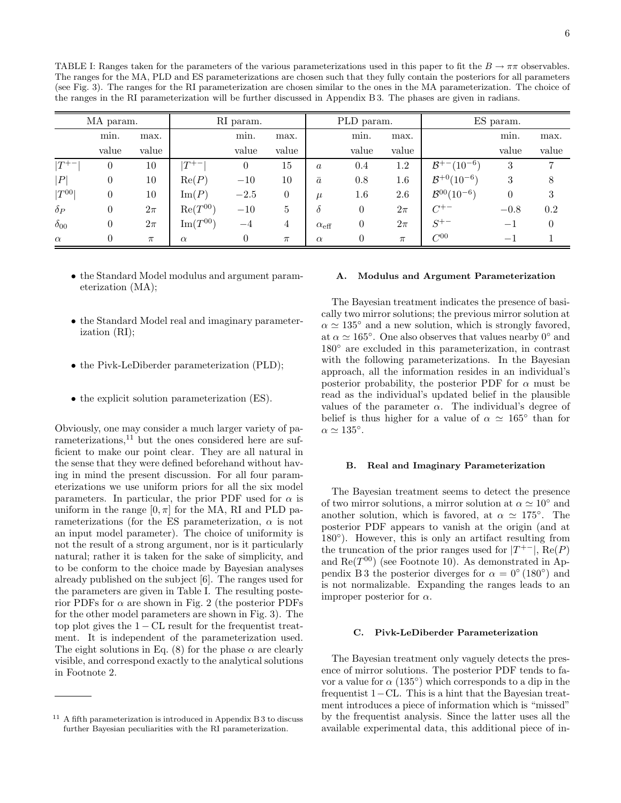| MA param.     |                  |        | RI param.      |        |                | PLD param.            |          |         | ES param.                   |                          |          |
|---------------|------------------|--------|----------------|--------|----------------|-----------------------|----------|---------|-----------------------------|--------------------------|----------|
|               | min.             | max.   |                | min.   | max.           |                       | min.     | max.    |                             | min.                     | max.     |
|               | value            | value  |                | value  | value          |                       | value    | value   |                             | value                    | value    |
| $ T^{+-} $    | $\theta$         | 10     | $ T^{+-} $     | 0      | 15             | $\boldsymbol{a}$      | 0.4      | 1.2     | $(10^{-6})$<br>$B^{+-}$ (   | 3                        | 7        |
| P             | $\theta$         | 10     | Re(P)          | $-10$  | 10             | $\bar{a}$             | 0.8      | $1.6\,$ | $B^{+0}(10^{-6})$           | 3                        | 8        |
| $ T^{00} $    | $\boldsymbol{0}$ | 10     | $\text{Im}(P)$ | $-2.5$ | $\theta$       | $\mu$                 | $1.6\,$  | 2.6     | $\mathcal{B}^{00}(10^{-6})$ | 0                        | 3        |
| $\delta_P$    | $\theta$         | $2\pi$ | $Re(T^{00})$   | $-10$  | 5              | $\delta$              | $\theta$ | $2\pi$  | $C^{+-}$                    | $-0.8$                   | 0.2      |
| $\delta_{00}$ | $\theta$         | $2\pi$ | $Im(T^{00})$   | $-4$   | $\overline{4}$ | $\alpha_{\text{eff}}$ | $\theta$ | $2\pi$  | $S^{+-}$                    | — 1                      | $\theta$ |
| $\alpha$      | $\theta$         | $\pi$  | $\alpha$       | 0      | $\pi$          | $\alpha$              | $\theta$ | $\pi$   | $C^{00}$                    | $\overline{\phantom{0}}$ |          |

- the Standard Model modulus and argument parameterization (MA);
- the Standard Model real and imaginary parameterization (RI);
- the Pivk-LeDiberder parameterization (PLD);
- the explicit solution parameterization (ES).

Obviously, one may consider a much larger variety of parameterizations, $11$  but the ones considered here are sufficient to make our point clear. They are all natural in the sense that they were defined beforehand without having in mind the present discussion. For all four parameterizations we use uniform priors for all the six model parameters. In particular, the prior PDF used for  $\alpha$  is uniform in the range  $[0, \pi]$  for the MA, RI and PLD parameterizations (for the ES parameterization,  $\alpha$  is not an input model parameter). The choice of uniformity is not the result of a strong argument, nor is it particularly natural; rather it is taken for the sake of simplicity, and to be conform to the choice made by Bayesian analyses already published on the subject [6]. The ranges used for the parameters are given in Table I. The resulting posterior PDFs for  $\alpha$  are shown in Fig. 2 (the posterior PDFs for the other model parameters are shown in Fig. 3). The top plot gives the  $1 - CL$  result for the frequentist treatment. It is independent of the parameterization used. The eight solutions in Eq. (8) for the phase  $\alpha$  are clearly visible, and correspond exactly to the analytical solutions in Footnote 2.

#### A. Modulus and Argument Parameterization

The Bayesian treatment indicates the presence of basically two mirror solutions; the previous mirror solution at  $\alpha \simeq 135^{\circ}$  and a new solution, which is strongly favored, at  $\alpha \simeq 165^{\circ}$ . One also observes that values nearby  $0^{\circ}$  and 180◦ are excluded in this parameterization, in contrast with the following parameterizations. In the Bayesian approach, all the information resides in an individual's posterior probability, the posterior PDF for  $\alpha$  must be read as the individual's updated belief in the plausible values of the parameter  $\alpha$ . The individual's degree of belief is thus higher for a value of  $\alpha \simeq 165^{\circ}$  than for  $\alpha \simeq 135^{\circ}.$ 

#### B. Real and Imaginary Parameterization

The Bayesian treatment seems to detect the presence of two mirror solutions, a mirror solution at  $\alpha \simeq 10^{\circ}$  and another solution, which is favored, at  $\alpha \simeq 175^\circ$ . The posterior PDF appears to vanish at the origin (and at 180<sup>°</sup>). However, this is only an artifact resulting from the truncation of the prior ranges used for  $|T^{+-}|$ , Re $(P)$ and  $\text{Re}(T^{00})$  (see Footnote 10). As demonstrated in Appendix B 3 the posterior diverges for  $\alpha = 0^{\circ} (180^{\circ})$  and is not normalizable. Expanding the ranges leads to an improper posterior for  $\alpha$ .

# C. Pivk-LeDiberder Parameterization

The Bayesian treatment only vaguely detects the presence of mirror solutions. The posterior PDF tends to favor a value for  $\alpha$  (135<sup>°</sup>) which corresponds to a dip in the frequentist 1−CL. This is a hint that the Bayesian treatment introduces a piece of information which is "missed" by the frequentist analysis. Since the latter uses all the available experimental data, this additional piece of in-

 $11$  A fifth parameterization is introduced in Appendix B 3 to discuss further Bayesian peculiarities with the RI parameterization.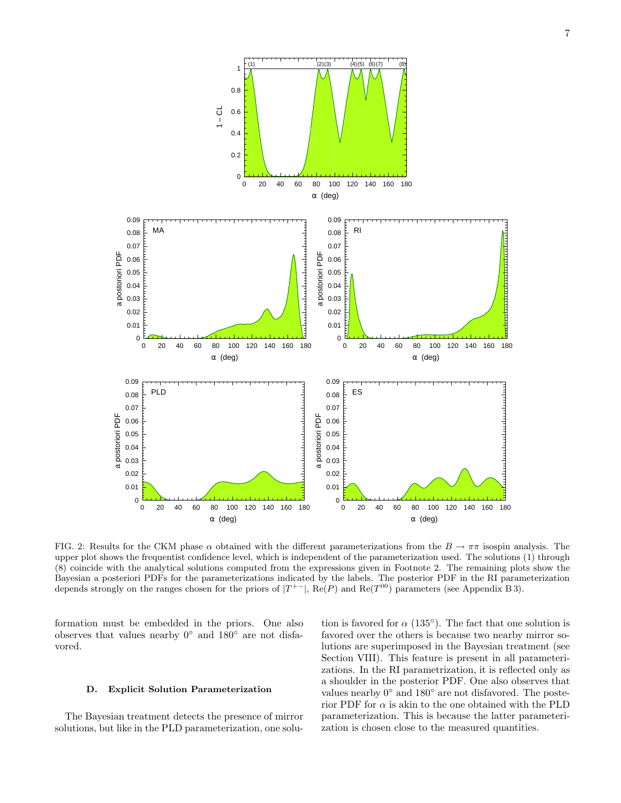

FIG. 2: Results for the CKM phase  $\alpha$  obtained with the different parameterizations from the  $B \to \pi\pi$  isospin analysis. The upper plot shows the frequentist confidence level, which is independent of the parameterization used. The solutions (1) through (8) coincide with the analytical solutions computed from the expressions given in Footnote 2. The remaining plots show the Bayesian a posteriori PDFs for the parameterizations indicated by the labels. The posterior PDF in the RI parameterization depends strongly on the ranges chosen for the priors of  $|T^{+-}|$ , Re(P) and Re( $T^{00}$ ) parameters (see Appendix B 3).

formation must be embedded in the priors. One also observes that values nearby 0◦ and 180◦ are not disfavored.

#### D. Explicit Solution Parameterization

The Bayesian treatment detects the presence of mirror solutions, but like in the PLD parameterization, one solu-

tion is favored for  $\alpha$  (135<sup>°</sup>). The fact that one solution is favored over the others is because two nearby mirror solutions are superimposed in the Bayesian treatment (see Section VIII). This feature is present in all parameterizations. In the RI parametrization, it is reflected only as a shoulder in the posterior PDF. One also observes that values nearby  $0^{\circ}$  and  $180^{\circ}$  are not disfavored. The posterior PDF for  $\alpha$  is akin to the one obtained with the PLD parameterization. This is because the latter parameterization is chosen close to the measured quantities.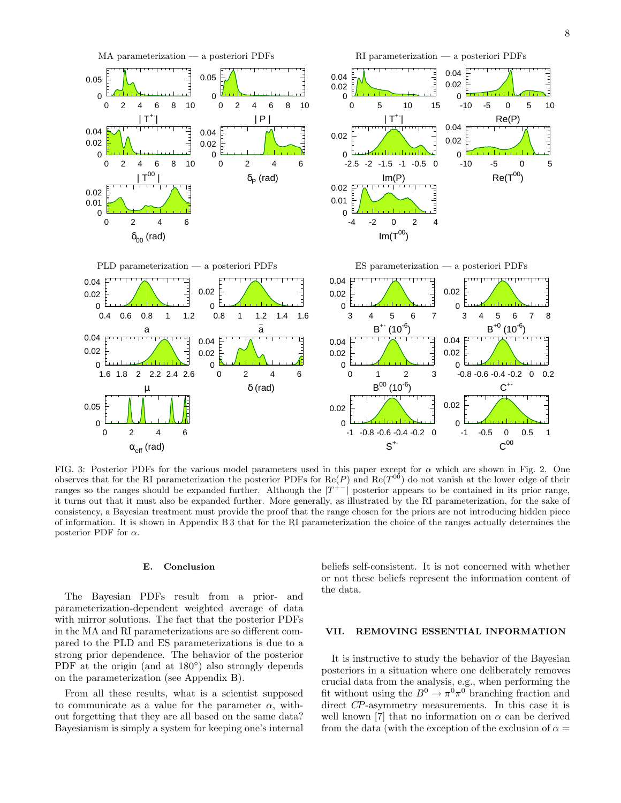

FIG. 3: Posterior PDFs for the various model parameters used in this paper except for  $\alpha$  which are shown in Fig. 2. One observes that for the RI parameterization the posterior PDFs for Re(P) and Re( $T^{00}$ ) do not vanish at the lower edge of their ranges so the ranges should be expanded further. Although the  $|T^{+-}|$  posterior appears to be contained in its prior range, it turns out that it must also be expanded further. More generally, as illustrated by the RI parameterization, for the sake of consistency, a Bayesian treatment must provide the proof that the range chosen for the priors are not introducing hidden piece of information. It is shown in Appendix B 3 that for the RI parameterization the choice of the ranges actually determines the posterior PDF for  $\alpha$ .

# E. Conclusion

The Bayesian PDFs result from a prior- and parameterization-dependent weighted average of data with mirror solutions. The fact that the posterior PDFs in the MA and RI parameterizations are so different compared to the PLD and ES parameterizations is due to a strong prior dependence. The behavior of the posterior PDF at the origin (and at 180<sup>°</sup>) also strongly depends on the parameterization (see Appendix B).

From all these results, what is a scientist supposed to communicate as a value for the parameter  $\alpha$ , without forgetting that they are all based on the same data? Bayesianism is simply a system for keeping one's internal beliefs self-consistent. It is not concerned with whether or not these beliefs represent the information content of the data.

### VII. REMOVING ESSENTIAL INFORMATION

It is instructive to study the behavior of the Bayesian posteriors in a situation where one deliberately removes crucial data from the analysis, e.g., when performing the fit without using the  $B^0 \to \pi^0 \pi^0$  branching fraction and direct CP-asymmetry measurements. In this case it is well known [7] that no information on  $\alpha$  can be derived from the data (with the exception of the exclusion of  $\alpha =$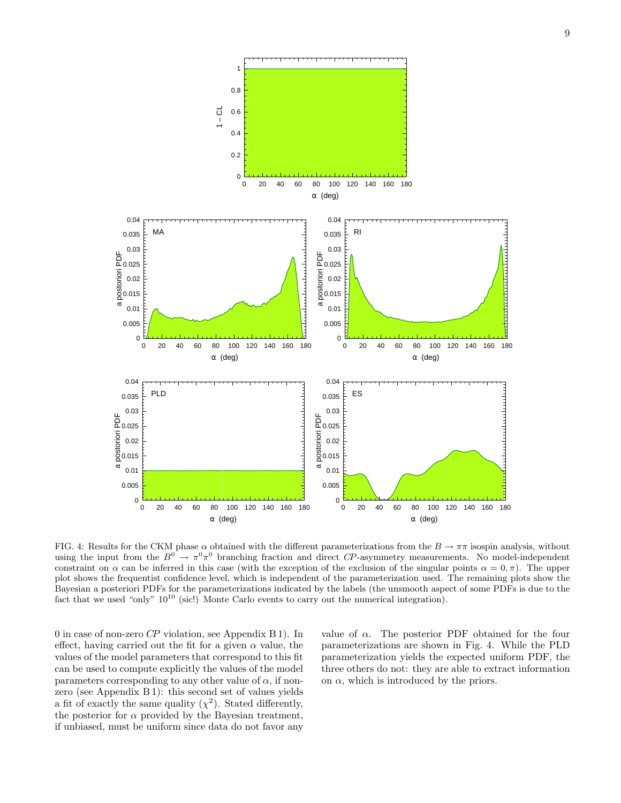

FIG. 4: Results for the CKM phase  $\alpha$  obtained with the different parameterizations from the  $B \to \pi\pi$  isospin analysis, without using the input from the  $B^0 \to \pi^0 \pi^0$  branching fraction and direct CP-asymmetry measurements. No model-independent constraint on  $\alpha$  can be inferred in this case (with the exception of the exclusion of the singular points  $\alpha = 0, \pi$ ). The upper plot shows the frequentist confidence level, which is independent of the parameterization used. The remaining plots show the Bayesian a posteriori PDFs for the parameterizations indicated by the labels (the unsmooth aspect of some PDFs is due to the fact that we used "only"  $10^{10}$  (sic!) Monte Carlo events to carry out the numerical integration).

0 in case of non-zero CP violation, see Appendix B 1). In effect, having carried out the fit for a given  $\alpha$  value, the values of the model parameters that correspond to this fit can be used to compute explicitly the values of the model parameters corresponding to any other value of  $\alpha$ , if nonzero (see Appendix B 1): this second set of values yields a fit of exactly the same quality  $(\chi^2)$ . Stated differently, the posterior for  $\alpha$  provided by the Bayesian treatment, if unbiased, must be uniform since data do not favor any

value of  $\alpha$ . The posterior PDF obtained for the four parameterizations are shown in Fig. 4. While the PLD parameterization yields the expected uniform PDF, the three others do not: they are able to extract information on  $\alpha$ , which is introduced by the priors.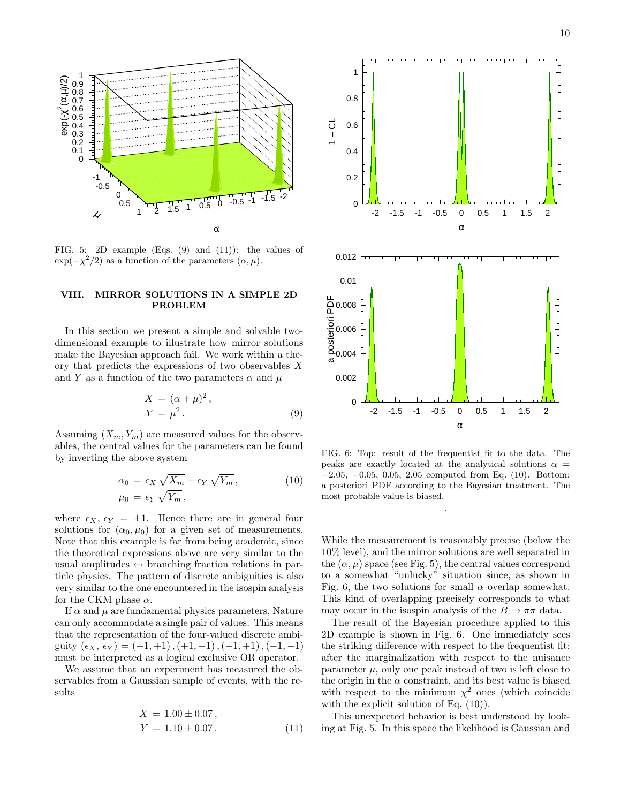

FIG. 5: 2D example (Eqs. (9) and (11)): the values of  $\exp(-\chi^2/2)$  as a function of the parameters  $(\alpha, \mu)$ .

# VIII. MIRROR SOLUTIONS IN A SIMPLE 2D PROBLEM

In this section we present a simple and solvable twodimensional example to illustrate how mirror solutions make the Bayesian approach fail. We work within a theory that predicts the expressions of two observables X and Y as a function of the two parameters  $\alpha$  and  $\mu$ 

$$
X = (\alpha + \mu)^2,
$$
  
\n
$$
Y = \mu^2.
$$
 (9)

Assuming  $(X_m, Y_m)$  are measured values for the observables, the central values for the parameters can be found by inverting the above system

$$
\alpha_0 = \epsilon_X \sqrt{X_m} - \epsilon_Y \sqrt{Y_m},
$$
  
\n
$$
\mu_0 = \epsilon_Y \sqrt{Y_m},
$$
\n(10)

where  $\epsilon_X$ ,  $\epsilon_Y = \pm 1$ . Hence there are in general four solutions for  $(\alpha_0, \mu_0)$  for a given set of measurements. Note that this example is far from being academic, since the theoretical expressions above are very similar to the usual amplitudes  $\leftrightarrow$  branching fraction relations in particle physics. The pattern of discrete ambiguities is also very similar to the one encountered in the isospin analysis for the CKM phase  $\alpha$ .

If  $\alpha$  and  $\mu$  are fundamental physics parameters, Nature can only accommodate a single pair of values. This means that the representation of the four-valued discrete ambiguity  $(\epsilon_X, \epsilon_Y) = (+1, +1), (+1, -1), (-1, +1), (-1, -1)$ must be interpreted as a logical exclusive OR operator.

We assume that an experiment has measured the observables from a Gaussian sample of events, with the results

$$
X = 1.00 \pm 0.07,
$$
  
\n
$$
Y = 1.10 \pm 0.07.
$$
 (11)



FIG. 6: Top: result of the frequentist fit to the data. The peaks are exactly located at the analytical solutions  $\alpha =$ −2.05, −0.05, 0.05, 2.05 computed from Eq. (10). Bottom: a posteriori PDF according to the Bayesian treatment. The most probable value is biased.

.

While the measurement is reasonably precise (below the 10% level), and the mirror solutions are well separated in the  $(\alpha, \mu)$  space (see Fig. 5), the central values correspond to a somewhat "unlucky" situation since, as shown in Fig. 6, the two solutions for small  $\alpha$  overlap somewhat. This kind of overlapping precisely corresponds to what may occur in the isospin analysis of the  $B \to \pi\pi$  data.

The result of the Bayesian procedure applied to this 2D example is shown in Fig. 6. One immediately sees the striking difference with respect to the frequentist fit: after the marginalization with respect to the nuisance parameter  $\mu$ , only one peak instead of two is left close to the origin in the  $\alpha$  constraint, and its best value is biased with respect to the minimum  $\chi^2$  ones (which coincide with the explicit solution of Eq.  $(10)$ ).

This unexpected behavior is best understood by looking at Fig. 5. In this space the likelihood is Gaussian and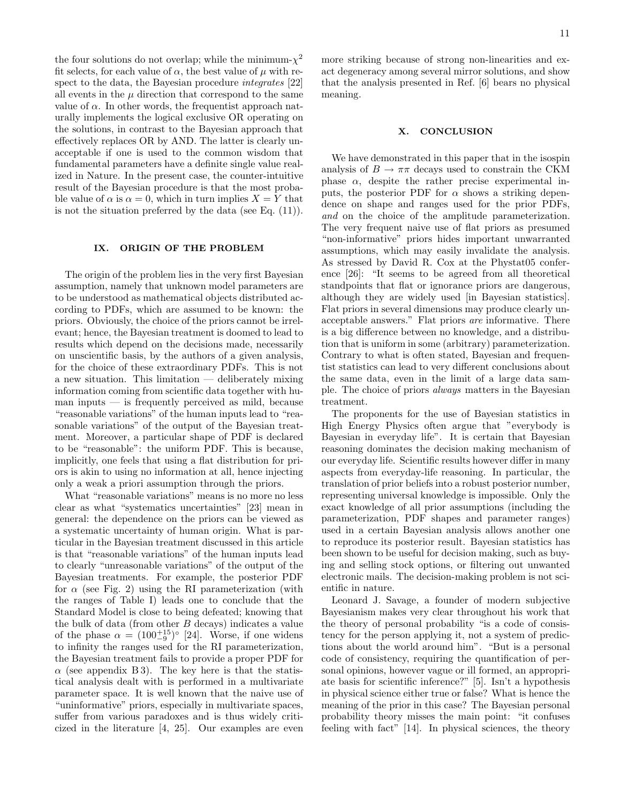the four solutions do not overlap; while the minimum- $\chi^2$ fit selects, for each value of  $\alpha$ , the best value of  $\mu$  with respect to the data, the Bayesian procedure *integrates* [22] all events in the  $\mu$  direction that correspond to the same value of  $\alpha$ . In other words, the frequentist approach naturally implements the logical exclusive OR operating on the solutions, in contrast to the Bayesian approach that effectively replaces OR by AND. The latter is clearly unacceptable if one is used to the common wisdom that fundamental parameters have a definite single value realized in Nature. In the present case, the counter-intuitive result of the Bayesian procedure is that the most probable value of  $\alpha$  is  $\alpha = 0$ , which in turn implies  $X = Y$  that is not the situation preferred by the data (see Eq. (11)).

### IX. ORIGIN OF THE PROBLEM

The origin of the problem lies in the very first Bayesian assumption, namely that unknown model parameters are to be understood as mathematical objects distributed according to PDFs, which are assumed to be known: the priors. Obviously, the choice of the priors cannot be irrelevant; hence, the Bayesian treatment is doomed to lead to results which depend on the decisions made, necessarily on unscientific basis, by the authors of a given analysis, for the choice of these extraordinary PDFs. This is not a new situation. This limitation — deliberately mixing information coming from scientific data together with hu $m$ an inputs  $\frac{1}{m}$  is frequently perceived as mild, because "reasonable variations" of the human inputs lead to "reasonable variations" of the output of the Bayesian treatment. Moreover, a particular shape of PDF is declared to be "reasonable": the uniform PDF. This is because, implicitly, one feels that using a flat distribution for priors is akin to using no information at all, hence injecting only a weak a priori assumption through the priors.

What "reasonable variations" means is no more no less clear as what "systematics uncertainties" [23] mean in general: the dependence on the priors can be viewed as a systematic uncertainty of human origin. What is particular in the Bayesian treatment discussed in this article is that "reasonable variations" of the human inputs lead to clearly "unreasonable variations" of the output of the Bayesian treatments. For example, the posterior PDF for  $\alpha$  (see Fig. 2) using the RI parameterization (with the ranges of Table I) leads one to conclude that the Standard Model is close to being defeated; knowing that the bulk of data (from other  $B$  decays) indicates a value of the phase  $\alpha = (100^{+15}_{-9})^{\circ}$  [24]. Worse, if one widens to infinity the ranges used for the RI parameterization, the Bayesian treatment fails to provide a proper PDF for  $\alpha$  (see appendix B 3). The key here is that the statistical analysis dealt with is performed in a multivariate parameter space. It is well known that the naive use of "uninformative" priors, especially in multivariate spaces, suffer from various paradoxes and is thus widely criticized in the literature [4, 25]. Our examples are even more striking because of strong non-linearities and exact degeneracy among several mirror solutions, and show that the analysis presented in Ref. [6] bears no physical meaning.

### X. CONCLUSION

We have demonstrated in this paper that in the isospin analysis of  $B \to \pi\pi$  decays used to constrain the CKM phase  $\alpha$ , despite the rather precise experimental inputs, the posterior PDF for  $\alpha$  shows a striking dependence on shape and ranges used for the prior PDFs, and on the choice of the amplitude parameterization. The very frequent naive use of flat priors as presumed "non-informative" priors hides important unwarranted assumptions, which may easily invalidate the analysis. As stressed by David R. Cox at the Phystat05 conference [26]: "It seems to be agreed from all theoretical standpoints that flat or ignorance priors are dangerous, although they are widely used [in Bayesian statistics]. Flat priors in several dimensions may produce clearly unacceptable answers." Flat priors are informative. There is a big difference between no knowledge, and a distribution that is uniform in some (arbitrary) parameterization. Contrary to what is often stated, Bayesian and frequentist statistics can lead to very different conclusions about the same data, even in the limit of a large data sample. The choice of priors always matters in the Bayesian treatment.

The proponents for the use of Bayesian statistics in High Energy Physics often argue that "everybody is Bayesian in everyday life". It is certain that Bayesian reasoning dominates the decision making mechanism of our everyday life. Scientific results however differ in many aspects from everyday-life reasoning. In particular, the translation of prior beliefs into a robust posterior number, representing universal knowledge is impossible. Only the exact knowledge of all prior assumptions (including the parameterization, PDF shapes and parameter ranges) used in a certain Bayesian analysis allows another one to reproduce its posterior result. Bayesian statistics has been shown to be useful for decision making, such as buying and selling stock options, or filtering out unwanted electronic mails. The decision-making problem is not scientific in nature.

Leonard J. Savage, a founder of modern subjective Bayesianism makes very clear throughout his work that the theory of personal probability "is a code of consistency for the person applying it, not a system of predictions about the world around him". "But is a personal code of consistency, requiring the quantification of personal opinions, however vague or ill formed, an appropriate basis for scientific inference?" [5]. Isn't a hypothesis in physical science either true or false? What is hence the meaning of the prior in this case? The Bayesian personal probability theory misses the main point: "it confuses feeling with fact" [14]. In physical sciences, the theory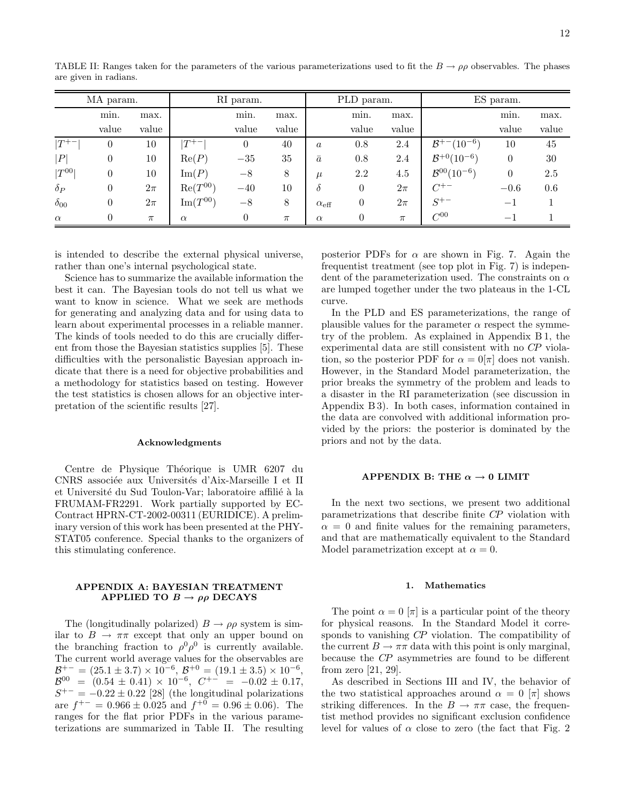| MA param.           |                |        | RI param.      |       |       | PLD param.            |                |        | ES param.                   |                          |        |
|---------------------|----------------|--------|----------------|-------|-------|-----------------------|----------------|--------|-----------------------------|--------------------------|--------|
|                     | min.           | max.   |                | min.  | max.  |                       | min.           | max.   |                             | min.                     | max.   |
|                     | value          | value  |                | value | value |                       | value          | value  |                             | value                    | value  |
| $ T^{+-} $          | $\theta$       | 10     | $T^{+-}$       | 0     | 40    | $\boldsymbol{a}$      | 0.8            | 2.4    | $B^{+-}(10^{-6})$           | 10                       | 45     |
| P                   | $\theta$       | 10     | Re(P)          | $-35$ | 35    | $\bar{a}$             | 0.8            | 2.4    | $B^{+0}(10^{-6})$           | $\overline{0}$           | $30\,$ |
| $\vert T^{00}\vert$ | $\overline{0}$ | 10     | $\text{Im}(P)$ | $-8$  | 8     | $\mu$                 | 2.2            | 4.5    | $\mathcal{B}^{00}(10^{-6})$ | $\overline{0}$           | 2.5    |
| $\delta_P$          | $\overline{0}$ | $2\pi$ | $Re(T^{00})$   | $-40$ | 10    | $\delta$              | $\theta$       | $2\pi$ | $C^{+-}$                    | $-0.6$                   | 0.6    |
| $\delta_{00}$       | $\theta$       | $2\pi$ | $Im(T^{00})$   | $-8$  | 8     | $\alpha_{\text{eff}}$ | $\theta$       | $2\pi$ | $S^{+-}$                    | $-1$                     |        |
| $\alpha$            | $\overline{0}$ | $\pi$  | $\alpha$       | 0     | $\pi$ | $\alpha$              | $\overline{0}$ | $\pi$  | $C^{00}$                    | $\overline{\phantom{0}}$ |        |

TABLE II: Ranges taken for the parameters of the various parameterizations used to fit the  $B \to \rho \rho$  observables. The phases are given in radians.

is intended to describe the external physical universe, rather than one's internal psychological state.

Science has to summarize the available information the best it can. The Bayesian tools do not tell us what we want to know in science. What we seek are methods for generating and analyzing data and for using data to learn about experimental processes in a reliable manner. The kinds of tools needed to do this are crucially different from those the Bayesian statistics supplies [5]. These difficulties with the personalistic Bayesian approach indicate that there is a need for objective probabilities and a methodology for statistics based on testing. However the test statistics is chosen allows for an objective interpretation of the scientific results [27].

#### Acknowledgments

Centre de Physique Théorique is UMR 6207 du CNRS associée aux Universités d'Aix-Marseille I et II et Université du Sud Toulon-Var; laboratoire affilié à la FRUMAM-FR2291. Work partially supported by EC-Contract HPRN-CT-2002-00311 (EURIDICE). A preliminary version of this work has been presented at the PHY-STAT05 conference. Special thanks to the organizers of this stimulating conference.

# APPENDIX A: BAYESIAN TREATMENT APPLIED TO  $B \to \rho \rho$  DECAYS

The (longitudinally polarized)  $B \to \rho \rho$  system is similar to  $B \to \pi\pi$  except that only an upper bound on the branching fraction to  $\rho^0 \rho^0$  is currently available. The current world average values for the observables are  $\mathcal{B}^{+-} = (25.1 \pm 3.7) \times 10^{-6}, \mathcal{B}^{+0} = (19.1 \pm 3.5) \times 10^{-6},$  $\mathcal{B}^{00}$  =  $(0.54 \pm 0.41) \times 10^{-6}$ ,  $C^{+-}$  =  $-0.02 \pm 0.17$ ,  $S^{+-} = -0.22 \pm 0.22$  [28] (the longitudinal polarizations are  $f^{+-} = 0.966 \pm 0.025$  and  $f^{+0} = 0.96 \pm 0.06$ ). The ranges for the flat prior PDFs in the various parameterizations are summarized in Table II. The resulting

posterior PDFs for  $\alpha$  are shown in Fig. 7. Again the frequentist treatment (see top plot in Fig. 7) is independent of the parameterization used. The constraints on  $\alpha$ are lumped together under the two plateaus in the 1-CL curve.

In the PLD and ES parameterizations, the range of plausible values for the parameter  $\alpha$  respect the symmetry of the problem. As explained in Appendix B 1, the experimental data are still consistent with no CP violation, so the posterior PDF for  $\alpha = 0/\pi$  does not vanish. However, in the Standard Model parameterization, the prior breaks the symmetry of the problem and leads to a disaster in the RI parameterization (see discussion in Appendix B 3). In both cases, information contained in the data are convolved with additional information provided by the priors: the posterior is dominated by the priors and not by the data.

#### APPENDIX B: THE  $\alpha \rightarrow 0$  LIMIT

In the next two sections, we present two additional parametrizations that describe finite CP violation with  $\alpha = 0$  and finite values for the remaining parameters, and that are mathematically equivalent to the Standard Model parametrization except at  $\alpha = 0$ .

#### 1. Mathematics

The point  $\alpha = 0$  [π] is a particular point of the theory for physical reasons. In the Standard Model it corresponds to vanishing CP violation. The compatibility of the current  $B \to \pi\pi$  data with this point is only marginal, because the CP asymmetries are found to be different from zero [21, 29].

As described in Sections III and IV, the behavior of the two statistical approaches around  $\alpha = 0$  [π] shows striking differences. In the  $B \to \pi\pi$  case, the frequentist method provides no significant exclusion confidence level for values of  $\alpha$  close to zero (the fact that Fig. 2)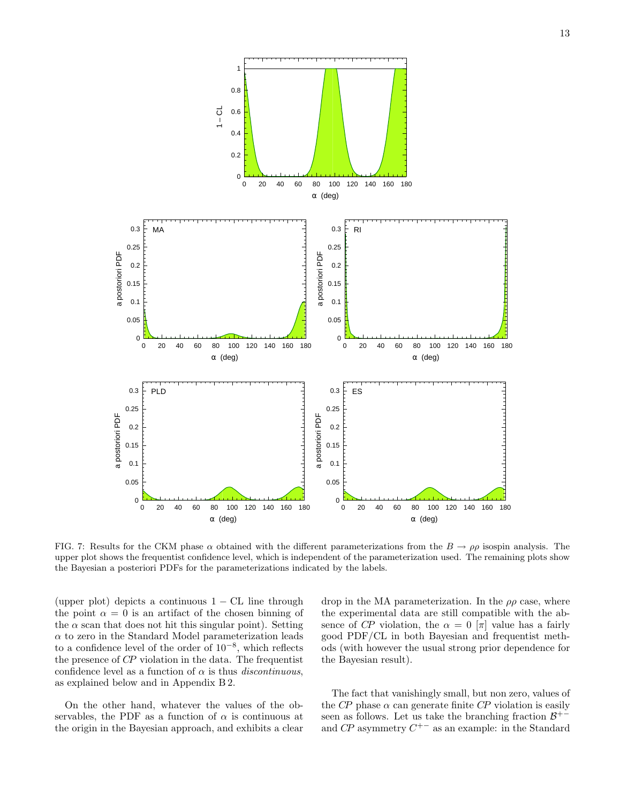

FIG. 7: Results for the CKM phase  $\alpha$  obtained with the different parameterizations from the  $B \to \rho \rho$  isospin analysis. The upper plot shows the frequentist confidence level, which is independent of the parameterization used. The remaining plots show the Bayesian a posteriori PDFs for the parameterizations indicated by the labels.

(upper plot) depicts a continuous  $1 - CL$  line through the point  $\alpha = 0$  is an artifact of the chosen binning of the  $\alpha$  scan that does not hit this singular point). Setting  $\alpha$  to zero in the Standard Model parameterization leads to a confidence level of the order of 10−<sup>8</sup> , which reflects the presence of CP violation in the data. The frequentist confidence level as a function of  $\alpha$  is thus *discontinuous*, as explained below and in Appendix B 2.

On the other hand, whatever the values of the observables, the PDF as a function of  $\alpha$  is continuous at the origin in the Bayesian approach, and exhibits a clear

drop in the MA parameterization. In the  $\rho \rho$  case, where the experimental data are still compatible with the absence of CP violation, the  $\alpha = 0$  [π] value has a fairly good PDF/CL in both Bayesian and frequentist methods (with however the usual strong prior dependence for the Bayesian result).

The fact that vanishingly small, but non zero, values of the CP phase  $\alpha$  can generate finite CP violation is easily seen as follows. Let us take the branching fraction  $\mathcal{B}^{+-}$ and  $\mathbb{CP}$  asymmetry  $\mathbb{C}^{+-}$  as an example: in the Standard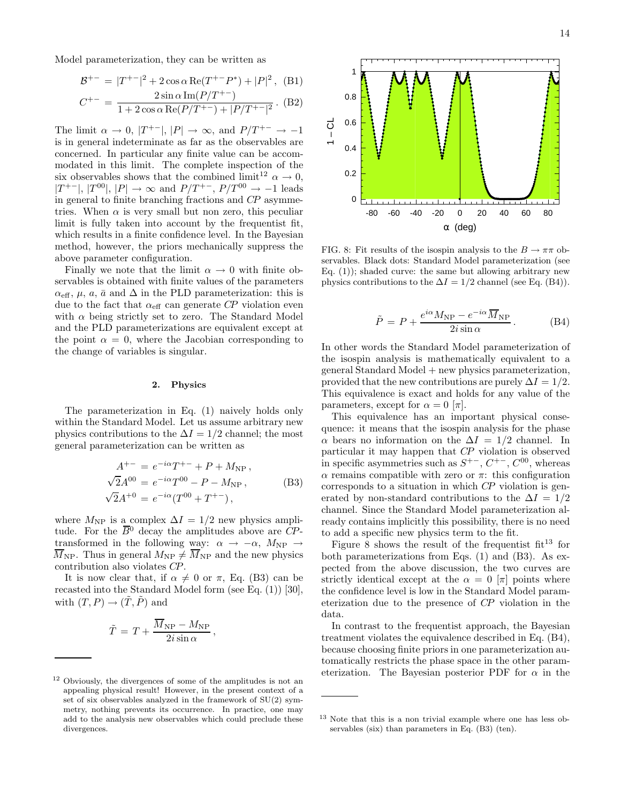Model parameterization, they can be written as

$$
\mathcal{B}^{+-} = |T^{+-}|^2 + 2 \cos \alpha \operatorname{Re}(T^{+-}P^*) + |P|^2, \text{ (B1)}
$$
  

$$
C^{+-} = \frac{2 \sin \alpha \operatorname{Im}(P/T^{+-})}{1 + 2 \cos \alpha \operatorname{Re}(P/T^{+-}) + |P/T^{+-}|^2}. \text{ (B2)}
$$

The limit  $\alpha \to 0$ ,  $|T^{+-}|$ ,  $|P| \to \infty$ , and  $P/T^{+-} \to -1$ is in general indeterminate as far as the observables are concerned. In particular any finite value can be accommodated in this limit. The complete inspection of the six observables shows that the combined limit<sup>12</sup>  $\alpha \to 0$ ,  $|T^{+-}|$ ,  $|T^{00}|$ ,  $|P| \rightarrow \infty$  and  $P/T^{+-}$ ,  $P/T^{00} \rightarrow -1$  leads in general to finite branching fractions and CP asymmetries. When  $\alpha$  is very small but non zero, this peculiar limit is fully taken into account by the frequentist fit, which results in a finite confidence level. In the Bayesian method, however, the priors mechanically suppress the above parameter configuration.

Finally we note that the limit  $\alpha \to 0$  with finite observables is obtained with finite values of the parameters  $\alpha_{\text{eff}}$ ,  $\mu$ ,  $\alpha$ ,  $\bar{\alpha}$  and  $\Delta$  in the PLD parameterization: this is due to the fact that  $\alpha_{\text{eff}}$  can generate CP violation even with  $\alpha$  being strictly set to zero. The Standard Model and the PLD parameterizations are equivalent except at the point  $\alpha = 0$ , where the Jacobian corresponding to the change of variables is singular.

### 2. Physics

The parameterization in Eq. (1) naively holds only within the Standard Model. Let us assume arbitrary new physics contributions to the  $\Delta I = 1/2$  channel; the most general parameterization can be written as

$$
A^{+-} = e^{-i\alpha} T^{+-} + P + M_{\rm NP} ,
$$
  
\n
$$
\sqrt{2}A^{00} = e^{-i\alpha} T^{00} - P - M_{\rm NP} ,
$$
  
\n
$$
\sqrt{2}A^{+0} = e^{-i\alpha} (T^{00} + T^{+-}) ,
$$
\n(B3)

where  $M_{\text{NP}}$  is a complex  $\Delta I = 1/2$  new physics amplitude. For the  $\overline{B}{}^0$  decay the amplitudes above are CPtransformed in the following way:  $\alpha \rightarrow -\alpha$ ,  $M_{\text{NP}} \rightarrow$  $\overline{M}_{\text{NP}}$ . Thus in general  $M_{\text{NP}} \neq \overline{M}_{\text{NP}}$  and the new physics contribution also violates CP.

It is now clear that, if  $\alpha \neq 0$  or  $\pi$ , Eq. (B3) can be recasted into the Standard Model form (see Eq. (1)) [30], with  $(T, P) \rightarrow (\tilde{T}, \tilde{P})$  and

$$
\tilde{T} = T + \frac{\overline{M}_{\rm NP} - M_{\rm NP}}{2i \sin \alpha},
$$



FIG. 8: Fit results of the isospin analysis to the  $B \to \pi\pi$  observables. Black dots: Standard Model parameterization (see Eq.  $(1)$ ; shaded curve: the same but allowing arbitrary new physics contributions to the  $\Delta I = 1/2$  channel (see Eq. (B4)).

$$
\tilde{P} = P + \frac{e^{i\alpha} M_{\rm NP} - e^{-i\alpha} \overline{M}_{\rm NP}}{2i \sin \alpha}.
$$
 (B4)

In other words the Standard Model parameterization of the isospin analysis is mathematically equivalent to a general Standard Model + new physics parameterization, provided that the new contributions are purely  $\Delta I = 1/2$ . This equivalence is exact and holds for any value of the parameters, except for  $\alpha = 0$  [ $\pi$ ].

This equivalence has an important physical consequence: it means that the isospin analysis for the phase  $\alpha$  bears no information on the  $\Delta I = 1/2$  channel. In particular it may happen that CP violation is observed in specific asymmetries such as  $S^{+-}$ ,  $C^{+-}$ ,  $C^{00}$ , whereas α remains compatible with zero or π: this configuration corresponds to a situation in which CP violation is generated by non-standard contributions to the  $\Delta I = 1/2$ channel. Since the Standard Model parameterization already contains implicitly this possibility, there is no need to add a specific new physics term to the fit.

Figure 8 shows the result of the frequentist  $fit^{13}$  for both parameterizations from Eqs. (1) and (B3). As expected from the above discussion, the two curves are strictly identical except at the  $\alpha = 0$  [π] points where the confidence level is low in the Standard Model parameterization due to the presence of CP violation in the data.

In contrast to the frequentist approach, the Bayesian treatment violates the equivalence described in Eq. (B4), because choosing finite priors in one parameterization automatically restricts the phase space in the other parameterization. The Bayesian posterior PDF for  $\alpha$  in the

<sup>12</sup> Obviously, the divergences of some of the amplitudes is not an appealing physical result! However, in the present context of a set of six observables analyzed in the framework of SU(2) symmetry, nothing prevents its occurrence. In practice, one may add to the analysis new observables which could preclude these divergences.

<sup>13</sup> Note that this is a non trivial example where one has less observables (six) than parameters in Eq. (B3) (ten).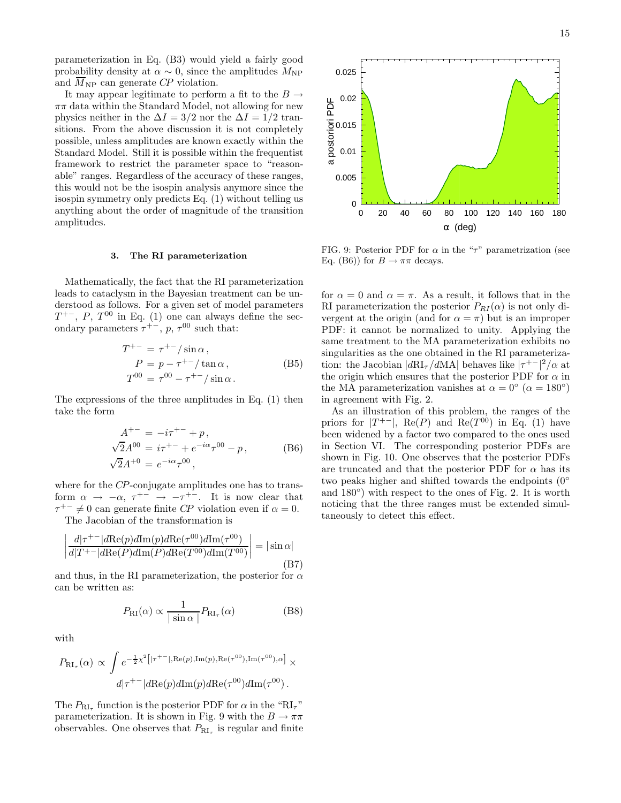parameterization in Eq. (B3) would yield a fairly good probability density at  $\alpha \sim 0$ , since the amplitudes  $M_{\text{NP}}$ and  $\overline{M}_{\text{NP}}$  can generate CP violation.

It may appear legitimate to perform a fit to the  $B \rightarrow$  $\pi\pi$  data within the Standard Model, not allowing for new physics neither in the  $\Delta I = 3/2$  nor the  $\Delta I = 1/2$  transitions. From the above discussion it is not completely possible, unless amplitudes are known exactly within the Standard Model. Still it is possible within the frequentist framework to restrict the parameter space to "reasonable" ranges. Regardless of the accuracy of these ranges, this would not be the isospin analysis anymore since the isospin symmetry only predicts Eq. (1) without telling us anything about the order of magnitude of the transition amplitudes.

#### 3. The RI parameterization

Mathematically, the fact that the RI parameterization leads to cataclysm in the Bayesian treatment can be understood as follows. For a given set of model parameters  $T^{+-}$ , P,  $T^{00}$  in Eq. (1) one can always define the secondary parameters  $\tau^{+-}$ ,  $p$ ,  $\tau^{00}$  such that:

$$
T^{+-} = \tau^{+-} / \sin \alpha ,
$$
  
\n
$$
P = p - \tau^{+-} / \tan \alpha ,
$$
  
\n
$$
T^{00} = \tau^{00} - \tau^{+-} / \sin \alpha .
$$
 (B5)

The expressions of the three amplitudes in Eq. (1) then take the form

$$
A^{+-} = -i\tau^{+-} + p,
$$
  
\n
$$
\sqrt{2}A^{00} = i\tau^{+-} + e^{-i\alpha}\tau^{00} - p,
$$
  
\n
$$
\sqrt{2}A^{+0} = e^{-i\alpha}\tau^{00},
$$
\n(B6)

where for the CP-conjugate amplitudes one has to transform  $\alpha \to -\alpha$ ,  $\tau^{+-} \to -\tau^{+-}$ . It is now clear that  $\tau^{+-} \neq 0$  can generate finite CP violation even if  $\alpha = 0$ . The Jacobian of the transformation is

$$
\left| \frac{d|\tau^{+-}|d\text{Re}(p)d\text{Im}(p)d\text{Re}(\tau^{00})d\text{Im}(\tau^{00})}{d|T^{+-}|d\text{Re}(P)d\text{Im}(P)d\text{Re}(T^{00})d\text{Im}(T^{00})} \right| = |\sin \alpha|
$$
\n(B7)

and thus, in the RI parameterization, the posterior for  $\alpha$ can be written as:

$$
P_{\rm RI}(\alpha) \propto \frac{1}{|\sin \alpha|} P_{\rm RI_{\tau}}(\alpha) \tag{B8}
$$

with

$$
P_{\text{RI}_{\tau}}(\alpha) \propto \int e^{-\frac{1}{2}\chi^2 \left[|\tau^{+-}|, \text{Re}(p), \text{Im}(p), \text{Re}(\tau^{00}), \text{Im}(\tau^{00}), \alpha\right]} \times d|\tau^{+-}|d\text{Re}(p)d\text{Im}(p)d\text{Re}(\tau^{00})d\text{Im}(\tau^{00}).
$$

The  $P_{\text{RI}_{\tau}}$  function is the posterior PDF for  $\alpha$  in the "RI<sub>7</sub>" parameterization. It is shown in Fig. 9 with the  $B \to \pi\pi$ observables. One observes that  $P_{\mathrm{RI}_{\tau}}$  is regular and finite

FIG. 9: Posterior PDF for  $\alpha$  in the " $\tau$ " parametrization (see Eq. (B6)) for  $B \to \pi\pi$  decays.

for  $\alpha = 0$  and  $\alpha = \pi$ . As a result, it follows that in the RI parameterization the posterior  $P_{RI}(\alpha)$  is not only divergent at the origin (and for  $\alpha = \pi$ ) but is an improper PDF: it cannot be normalized to unity. Applying the same treatment to the MA parameterization exhibits no singularities as the one obtained in the RI parameterization: the Jacobian  $|dR I_{\tau}/dM A|$  behaves like  $|\tau^{+-}|^2/\alpha$  at the origin which ensures that the posterior PDF for  $\alpha$  in the MA parameterization vanishes at  $\alpha = 0^{\circ}$  ( $\alpha = 180^{\circ}$ ) in agreement with Fig. 2.

As an illustration of this problem, the ranges of the priors for  $|T^{+-}|$ , Re(P) and Re( $T^{00}$ ) in Eq. (1) have been widened by a factor two compared to the ones used in Section VI. The corresponding posterior PDFs are shown in Fig. 10. One observes that the posterior PDFs are truncated and that the posterior PDF for  $\alpha$  has its two peaks higher and shifted towards the endpoints (0◦ and  $180^\circ$ ) with respect to the ones of Fig. 2. It is worth noticing that the three ranges must be extended simultaneously to detect this effect.

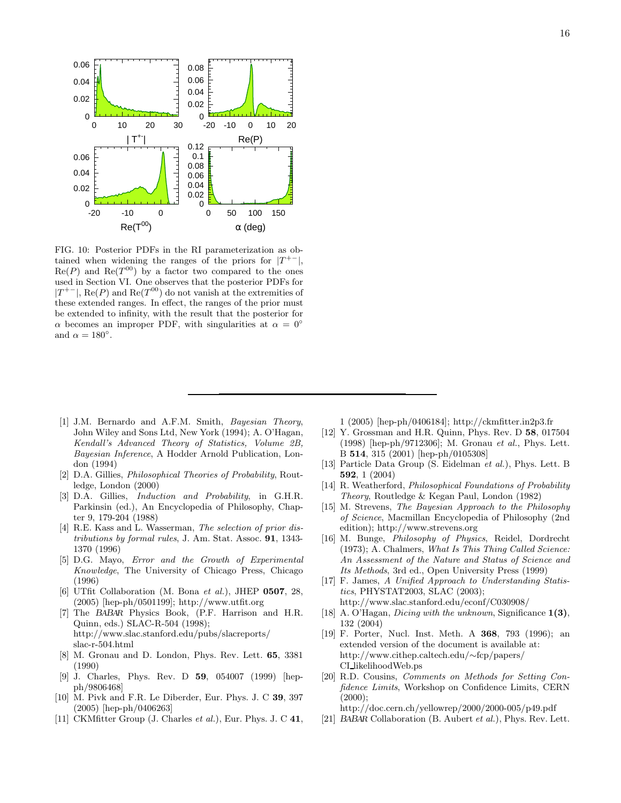

FIG. 10: Posterior PDFs in the RI parameterization as obtained when widening the ranges of the priors for  $|T^{+-}|$ ,  $\text{Re}(P)$  and  $\text{Re}(T^{00})$  by a factor two compared to the ones used in Section VI. One observes that the posterior PDFs for  $|T^{+-}|$ , Re(P) and Re( $T^{00}$ ) do not vanish at the extremities of these extended ranges. In effect, the ranges of the prior must be extended to infinity, with the result that the posterior for  $\alpha$  becomes an improper PDF, with singularities at  $\alpha = 0^\circ$ and  $\alpha = 180^{\circ}$ .

- [1] J.M. Bernardo and A.F.M. Smith, Bayesian Theory, John Wiley and Sons Ltd, New York (1994); A. O'Hagan, Kendall's Advanced Theory of Statistics, Volume 2B, Bayesian Inference, A Hodder Arnold Publication, London (1994)
- [2] D.A. Gillies, *Philosophical Theories of Probability*, Routledge, London (2000)
- [3] D.A. Gillies, Induction and Probability, in G.H.R. Parkinsin (ed.), An Encyclopedia of Philosophy, Chapter 9, 179-204 (1988)
- [4] R.E. Kass and L. Wasserman, *The selection of prior dis*tributions by formal rules, J. Am. Stat. Assoc. 91, 1343- 1370 (1996)
- [5] D.G. Mayo, Error and the Growth of Experimental Knowledge, The University of Chicago Press, Chicago (1996)
- [6] UTfit Collaboration (M. Bona et al.), JHEP 0507, 28, (2005) [hep-ph/0501199]; http://www.utfit.org
- [7] The BABAR Physics Book, (P.F. Harrison and H.R. Quinn, eds.) SLAC-R-504 (1998); http://www.slac.stanford.edu/pubs/slacreports/ slac-r-504.html
- [8] M. Gronau and D. London, Phys. Rev. Lett. 65, 3381 (1990)
- [9] J. Charles, Phys. Rev. D 59, 054007 (1999) [hepph/9806468]
- [10] M. Pivk and F.R. Le Diberder, Eur. Phys. J. C 39, 397 (2005) [hep-ph/0406263]
- [11] CKMfitter Group (J. Charles *et al.*), Eur. Phys. J. C 41,

1 (2005) [hep-ph/0406184]; http://ckmfitter.in2p3.fr

- [12] Y. Grossman and H.R. Quinn, Phys. Rev. D 58, 017504 (1998) [hep-ph/9712306]; M. Gronau et al., Phys. Lett. B 514, 315 (2001) [hep-ph/0105308]
- [13] Particle Data Group (S. Eidelman *et al.*), Phys. Lett. B 592, 1 (2004)
- [14] R. Weatherford, Philosophical Foundations of Probability Theory, Routledge & Kegan Paul, London (1982)
- [15] M. Strevens, The Bayesian Approach to the Philosophy of Science, Macmillan Encyclopedia of Philosophy (2nd edition); http://www.strevens.org
- [16] M. Bunge, Philosophy of Physics, Reidel, Dordrecht (1973); A. Chalmers, What Is This Thing Called Science: An Assessment of the Nature and Status of Science and Its Methods, 3rd ed., Open University Press (1999)
- [17] F. James, A Unified Approach to Understanding Statistics, PHYSTAT2003, SLAC (2003); http://www.slac.stanford.edu/econf/C030908/
- [18] A. O'Hagan, *Dicing with the unknown*, Significance  $1(3)$ , 132 (2004)
- [19] F. Porter, Nucl. Inst. Meth. A 368, 793 (1996); an extended version of the document is available at: http://www.cithep.caltech.edu/∼fcp/papers/ CI likelihoodWeb.ps
- [20] R.D. Cousins, Comments on Methods for Setting Confidence Limits, Workshop on Confidence Limits, CERN  $(2000)$ :

http://doc.cern.ch/yellowrep/2000/2000-005/p49.pdf

[21] BABAR Collaboration (B. Aubert et al.), Phys. Rev. Lett.